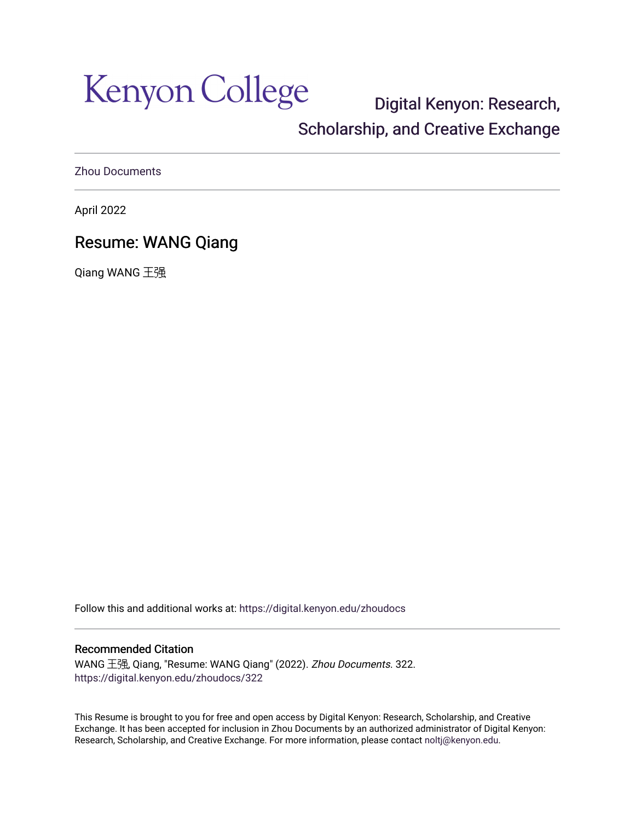Kenyon College

[Digital Kenyon: Research,](https://digital.kenyon.edu/)  [Scholarship, and Creative Exchange](https://digital.kenyon.edu/) 

[Zhou Documents](https://digital.kenyon.edu/zhoudocs) 

April 2022

# Resume: WANG Qiang

Qiang WANG 王强

Follow this and additional works at: [https://digital.kenyon.edu/zhoudocs](https://digital.kenyon.edu/zhoudocs?utm_source=digital.kenyon.edu%2Fzhoudocs%2F322&utm_medium=PDF&utm_campaign=PDFCoverPages)

#### Recommended Citation

WANG 王强, Qiang, "Resume: WANG Qiang" (2022). Zhou Documents. 322. [https://digital.kenyon.edu/zhoudocs/322](https://digital.kenyon.edu/zhoudocs/322?utm_source=digital.kenyon.edu%2Fzhoudocs%2F322&utm_medium=PDF&utm_campaign=PDFCoverPages)

This Resume is brought to you for free and open access by Digital Kenyon: Research, Scholarship, and Creative Exchange. It has been accepted for inclusion in Zhou Documents by an authorized administrator of Digital Kenyon: Research, Scholarship, and Creative Exchange. For more information, please contact [noltj@kenyon.edu.](mailto:noltj@kenyon.edu)